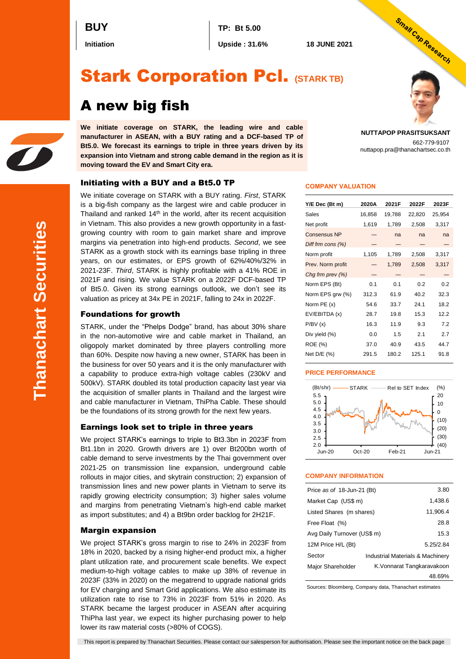**BUY TP: Bt 5.00**

**Initiation Upside : 31.6% 18 JUNE 2021**

# Stark Corporation Pcl. **(STARK TB)**

# A new big fish

**We initiate coverage on STARK, the leading wire and cable manufacturer in ASEAN, with a BUY rating and a DCF-based TP of Bt5.0. We forecast its earnings to triple in three years driven by its expansion into Vietnam and strong cable demand in the region as it is moving toward the EV and Smart City era.**

# Initiating with a BUY and a Bt5.0 TP

We initiate coverage on STARK with a BUY rating. *First*, STARK is a big-fish company as the largest wire and cable producer in Thailand and ranked  $14<sup>th</sup>$  in the world, after its recent acquisition in Vietnam. This also provides a new growth opportunity in a fastgrowing country with room to gain market share and improve margins via penetration into high-end products. *Second*, we see STARK as a growth stock with its earnings base tripling in three years, on our estimates, or EPS growth of 62%/40%/32% in 2021-23F. *Third*, STARK is highly profitable with a 41% ROE in 2021F and rising. We value STARK on a 2022F DCF-based TP of Bt5.0. Given its strong earnings outlook, we don't see its valuation as pricey at 34x PE in 2021F, falling to 24x in 2022F.

## Foundations for growth

STARK, under the "Phelps Dodge" brand, has about 30% share in the non-automotive wire and cable market in Thailand, an oligopoly market dominated by three players controlling more than 60%. Despite now having a new owner, STARK has been in the business for over 50 years and it is the only manufacturer with a capability to produce extra-high voltage cables (230kV and 500kV). STARK doubled its total production capacity last year via the acquisition of smaller plants in Thailand and the largest wire and cable manufacturer in Vietnam, ThiPha Cable. These should be the foundations of its strong growth for the next few years.

## Earnings look set to triple in three years

We project STARK's earnings to triple to Bt3.3bn in 2023F from Bt1.1bn in 2020. Growth drivers are 1) over Bt200bn worth of cable demand to serve investments by the Thai government over 2021-25 on transmission line expansion, underground cable rollouts in major cities, and skytrain construction; 2) expansion of transmission lines and new power plants in Vietnam to serve its rapidly growing electricity consumption; 3) higher sales volume and margins from penetrating Vietnam's high-end cable market as import substitutes; and 4) a Bt9bn order backlog for 2H21F.

# Margin expansion

We project STARK's gross margin to rise to 24% in 2023F from 18% in 2020, backed by a rising higher-end product mix, a higher plant utilization rate, and procurement scale benefits. We expect medium-to-high voltage cables to make up 38% of revenue in 2023F (33% in 2020) on the megatrend to upgrade national grids for EV charging and Smart Grid applications. We also estimate its utilization rate to rise to 73% in 2023F from 51% in 2020. As STARK became the largest producer in ASEAN after acquiring ThiPha last year, we expect its higher purchasing power to help lower its raw material costs (>80% of COGS).

**NUTTAPOP PRASITSUKSANT**

662-779-9107 nuttapop.pra@thanachartsec.co.th

Small Cap Research

### **COMPANY VALUATION**

| Y/E Dec (Bt m)      | 2020A  | 2021F  | 2022F  | 2023F  |
|---------------------|--------|--------|--------|--------|
| Sales               | 16,858 | 19,788 | 22,820 | 25,954 |
| Net profit          | 1,619  | 1,789  | 2,508  | 3,317  |
| <b>Consensus NP</b> |        | na     | na     | na     |
| Diff frm $cons(%)$  |        |        |        |        |
| Norm profit         | 1,105  | 1,789  | 2,508  | 3,317  |
| Prev. Norm profit   |        | 1,789  | 2,508  | 3,317  |
| Chg frm prev (%)    |        |        |        |        |
| Norm EPS (Bt)       | 0.1    | 0.1    | 0.2    | 0.2    |
| Norm EPS grw (%)    | 312.3  | 61.9   | 40.2   | 32.3   |
| Norm PE (x)         | 54.6   | 33.7   | 24.1   | 18.2   |
| EV/EBITDA (x)       | 28.7   | 19.8   | 15.3   | 12.2   |
| P/BV(x)             | 16.3   | 11.9   | 9.3    | 7.2    |
| Div yield (%)       | 0.0    | 1.5    | 2.1    | 2.7    |
| <b>ROE</b> (%)      | 37.0   | 40.9   | 43.5   | 44.7   |
| Net D/E (%)         | 291.5  | 180.2  | 125.1  | 91.8   |

#### **PRICE PERFORMANCE**



#### **COMPANY INFORMATION**

| Price as of 18-Jun-21 (Bt)  | 3.80 |                                  |
|-----------------------------|------|----------------------------------|
| Market Cap (US\$ m)         |      | 1.438.6                          |
| Listed Shares (m shares)    |      | 11,906.4                         |
| Free Float (%)              |      | 28.8                             |
| Avg Daily Turnover (US\$ m) |      | 15.3                             |
| 12M Price H/L (Bt)          |      | 5.25/2.84                        |
| Sector                      |      | Industrial Materials & Machinery |
| Major Shareholder           |      | K. Vonnarat Tangkaravakoon       |
|                             |      | 48.69%                           |

Sources: Bloomberg, Company data, Thanachart estimates

This report is prepared by Thanachart Securities. Please contact our salesperson for authorisation. Please see the important notice on the back page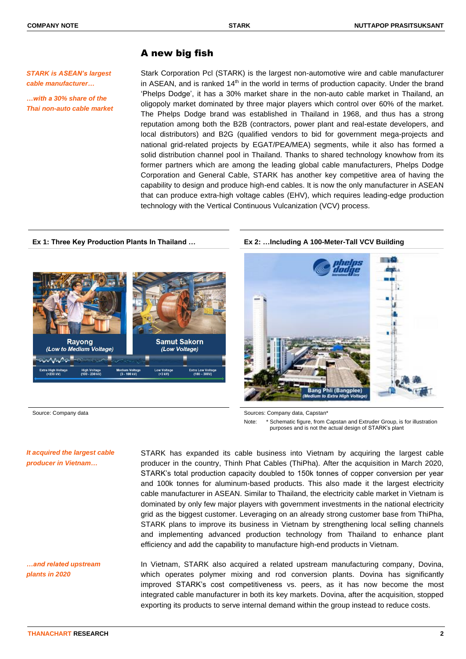# A new big fish

*STARK is ASEAN's largest cable manufacturer…*

*…with a 30% share of the Thai non-auto cable market*

Stark Corporation Pcl (STARK) is the largest non-automotive wire and cable manufacturer in ASEAN, and is ranked 14<sup>th</sup> in the world in terms of production capacity. Under the brand 'Phelps Dodge', it has a 30% market share in the non-auto cable market in Thailand, an oligopoly market dominated by three major players which control over 60% of the market. The Phelps Dodge brand was established in Thailand in 1968, and thus has a strong reputation among both the B2B (contractors, power plant and real-estate developers, and local distributors) and B2G (qualified vendors to bid for government mega-projects and national grid-related projects by EGAT/PEA/MEA) segments, while it also has formed a solid distribution channel pool in Thailand. Thanks to shared technology knowhow from its former partners which are among the leading global cable manufacturers, Phelps Dodge Corporation and General Cable, STARK has another key competitive area of having the capability to design and produce high-end cables. It is now the only manufacturer in ASEAN that can produce extra-high voltage cables (EHV), which requires leading-edge production technology with the Vertical Continuous Vulcanization (VCV) process.

# **Ex 1: Three Key Production Plants In Thailand … Ex 2: …Including A 100-Meter-Tall VCV Building**





Source: Company data Sources: Company data, Capstan\* Sources: Company data, Capstan\*

Note: \* Schematic figure, from Capstan and Extruder Group, is for illustration purposes and is not the actual design of STARK's plant

## *It acquired the largest cable producer in Vietnam…*

STARK has expanded its cable business into Vietnam by acquiring the largest cable producer in the country, Thinh Phat Cables (ThiPha). After the acquisition in March 2020, STARK's total production capacity doubled to 150k tonnes of copper conversion per year and 100k tonnes for aluminum-based products. This also made it the largest electricity cable manufacturer in ASEAN. Similar to Thailand, the electricity cable market in Vietnam is dominated by only few major players with government investments in the national electricity grid as the biggest customer. Leveraging on an already strong customer base from ThiPha, STARK plans to improve its business in Vietnam by strengthening local selling channels and implementing advanced production technology from Thailand to enhance plant efficiency and add the capability to manufacture high-end products in Vietnam.

In Vietnam, STARK also acquired a related upstream manufacturing company, Dovina, which operates polymer mixing and rod conversion plants. Dovina has significantly improved STARK's cost competitiveness vs. peers, as it has now become the most integrated cable manufacturer in both its key markets. Dovina, after the acquisition, stopped exporting its products to serve internal demand within the group instead to reduce costs.

*…and related upstream* 

*plants in 2020*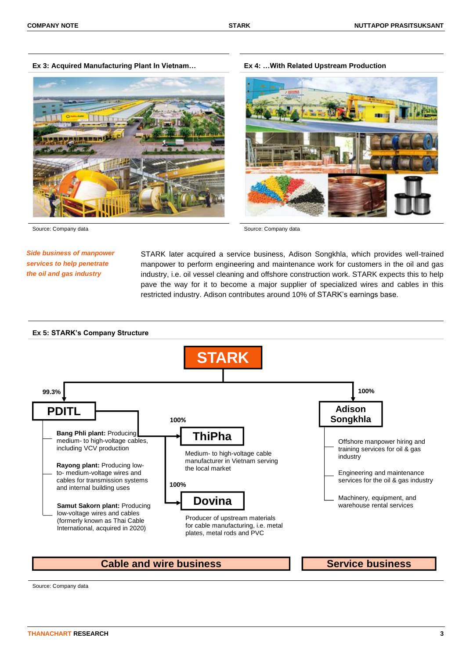**Ex 3: Acquired Manufacturing Plant In Vietnam… Ex 4: …With Related Upstream Production**



Source: Company data Source: Company data

# *Side business of manpower services to help penetrate the oil and gas industry*

STARK later acquired a service business, Adison Songkhla, which provides well-trained manpower to perform engineering and maintenance work for customers in the oil and gas industry, i.e. oil vessel cleaning and offshore construction work. STARK expects this to help pave the way for it to become a major supplier of specialized wires and cables in this restricted industry. Adison contributes around 10% of STARK's earnings base.

#### **Ex 5: STARK's Company Structure STARK ThiPha Dovina PDITL Bang Phli plant:** Producing medium- to high-voltage cables, including VCV production **Rayong plant:** Producing lowto- medium-voltage wires and cables for transmission systems and internal building uses Medium- to high-voltage cable manufacturer in Vietnam serving the local market Producer of upstream materials for cable manufacturing, i.e. metal plates, metal rods and PVC **Adison Songkhla** Offshore manpower hiring and training services for oil & gas industry Engineering and maintenance services for the oil & gas industry Machinery, equipment, and **Samut Sakorn plant: Producing** low-voltage wires and cables (formerly known as Thai Cable International, acquired in 2020) **99.3% 100% 100% 100%**

**Cable and wire business The Service business** 

Source: Company data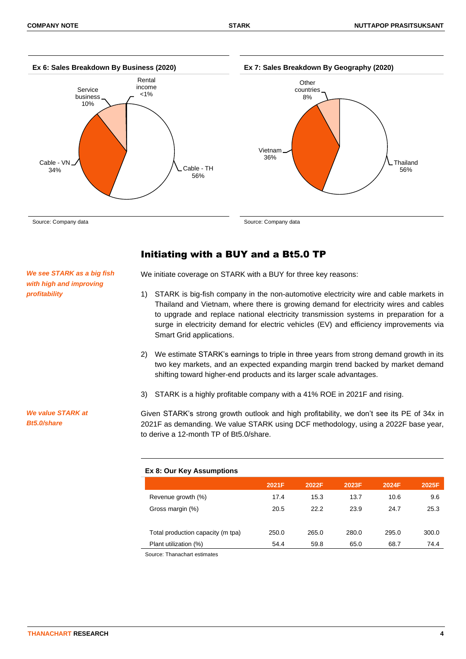

Initiating with a BUY and a Bt5.0 TP

*We see STARK as a big fish with high and improving profitability*

We initiate coverage on STARK with a BUY for three key reasons:

- 1) STARK is big-fish company in the non-automotive electricity wire and cable markets in Thailand and Vietnam, where there is growing demand for electricity wires and cables to upgrade and replace national electricity transmission systems in preparation for a surge in electricity demand for electric vehicles (EV) and efficiency improvements via Smart Grid applications.
- 2) We estimate STARK's earnings to triple in three years from strong demand growth in its two key markets, and an expected expanding margin trend backed by market demand shifting toward higher-end products and its larger scale advantages.
- 3) STARK is a highly profitable company with a 41% ROE in 2021F and rising.

*We value STARK at Bt5.0/share*

Given STARK's strong growth outlook and high profitability, we don't see its PE of 34x in 2021F as demanding. We value STARK using DCF methodology, using a 2022F base year, to derive a 12-month TP of Bt5.0/share.

#### **Ex 8: Our Key Assumptions**

|                                   | 2021F | 2022F | 2023F | 2024F | 2025F |
|-----------------------------------|-------|-------|-------|-------|-------|
| Revenue growth (%)                | 17.4  | 15.3  | 13.7  | 10.6  | 9.6   |
| Gross margin (%)                  | 20.5  | 22.2  | 23.9  | 24.7  | 25.3  |
|                                   |       |       |       |       |       |
| Total production capacity (m tpa) | 250.0 | 265.0 | 280.0 | 295.0 | 300.0 |
| Plant utilization (%)             | 54.4  | 59.8  | 65.0  | 68.7  | 74.4  |

Source: Thanachart estimates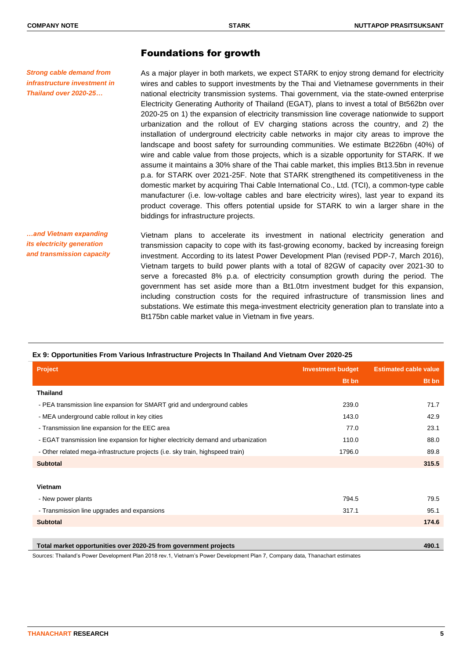*Strong cable demand from infrastructure investment in Thailand over 2020-25…*

# Foundations for growth

As a major player in both markets, we expect STARK to enjoy strong demand for electricity wires and cables to support investments by the Thai and Vietnamese governments in their national electricity transmission systems. Thai government, via the state-owned enterprise Electricity Generating Authority of Thailand (EGAT), plans to invest a total of Bt562bn over 2020-25 on 1) the expansion of electricity transmission line coverage nationwide to support urbanization and the rollout of EV charging stations across the country, and 2) the installation of underground electricity cable networks in major city areas to improve the landscape and boost safety for surrounding communities. We estimate Bt226bn (40%) of wire and cable value from those projects, which is a sizable opportunity for STARK. If we assume it maintains a 30% share of the Thai cable market, this implies Bt13.5bn in revenue p.a. for STARK over 2021-25F. Note that STARK strengthened its competitiveness in the domestic market by acquiring Thai Cable International Co., Ltd. (TCI), a common-type cable manufacturer (i.e. low-voltage cables and bare electricity wires), last year to expand its product coverage. This offers potential upside for STARK to win a larger share in the biddings for infrastructure projects.

*…and Vietnam expanding its electricity generation and transmission capacity*

Vietnam plans to accelerate its investment in national electricity generation and transmission capacity to cope with its fast-growing economy, backed by increasing foreign investment. According to its latest Power Development Plan (revised PDP-7, March 2016), Vietnam targets to build power plants with a total of 82GW of capacity over 2021-30 to serve a forecasted 8% p.a. of electricity consumption growth during the period. The government has set aside more than a Bt1.0trn investment budget for this expansion, including construction costs for the required infrastructure of transmission lines and substations. We estimate this mega-investment electricity generation plan to translate into a Bt175bn cable market value in Vietnam in five years.

| <b>Project</b>                                                                    | <b>Investment budget</b> | <b>Estimated cable value</b> |
|-----------------------------------------------------------------------------------|--------------------------|------------------------------|
|                                                                                   | <b>Bt</b> bn             | Bt bn                        |
| <b>Thailand</b>                                                                   |                          |                              |
| - PEA transmission line expansion for SMART grid and underground cables           | 239.0                    | 71.7                         |
| - MEA underground cable rollout in key cities                                     | 143.0                    | 42.9                         |
| - Transmission line expansion for the EEC area                                    | 77.0                     | 23.1                         |
| - EGAT transmission line expansion for higher electricity demand and urbanization | 110.0                    | 88.0                         |
| - Other related mega-infrastructure projects (i.e. sky train, highspeed train)    | 1796.0                   | 89.8                         |
| <b>Subtotal</b>                                                                   |                          | 315.5                        |
|                                                                                   |                          |                              |
| Vietnam                                                                           |                          |                              |
| - New power plants                                                                | 794.5                    | 79.5                         |
| - Transmission line upgrades and expansions                                       | 317.1                    | 95.1                         |
| <b>Subtotal</b>                                                                   |                          | 174.6                        |
|                                                                                   |                          |                              |
| Total market opportunities over 2020-25 from government projects                  |                          | 490.1                        |

# **Ex 9: Opportunities From Various Infrastructure Projects In Thailand And Vietnam Over 2020-25**

Sources: Thailand's Power Development Plan 2018 rev.1, Vietnam's Power Development Plan 7, Company data, Thanachart estimates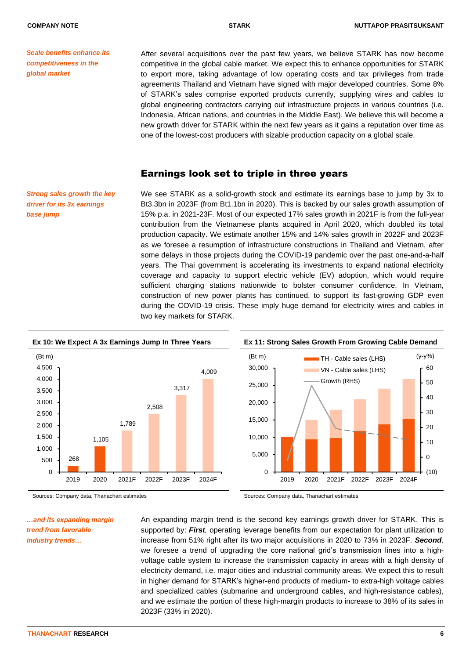*Scale benefits enhance its competitiveness in the global market*

After several acquisitions over the past few years, we believe STARK has now become competitive in the global cable market. We expect this to enhance opportunities for STARK to export more, taking advantage of low operating costs and tax privileges from trade agreements Thailand and Vietnam have signed with major developed countries. Some 8% of STARK's sales comprise exported products currently, supplying wires and cables to global engineering contractors carrying out infrastructure projects in various countries (i.e. Indonesia, African nations, and countries in the Middle East). We believe this will become a new growth driver for STARK within the next few years as it gains a reputation over time as one of the lowest-cost producers with sizable production capacity on a global scale.

# Earnings look set to triple in three years

*Strong sales growth the key driver for its 3x earnings base jump*

We see STARK as a solid-growth stock and estimate its earnings base to jump by 3x to Bt3.3bn in 2023F (from Bt1.1bn in 2020). This is backed by our sales growth assumption of 15% p.a. in 2021-23F. Most of our expected 17% sales growth in 2021F is from the full-year contribution from the Vietnamese plants acquired in April 2020, which doubled its total production capacity. We estimate another 15% and 14% sales growth in 2022F and 2023F as we foresee a resumption of infrastructure constructions in Thailand and Vietnam, after some delays in those projects during the COVID-19 pandemic over the past one-and-a-half years. The Thai government is accelerating its investments to expand national electricity coverage and capacity to support electric vehicle (EV) adoption, which would require sufficient charging stations nationwide to bolster consumer confidence. In Vietnam, construction of new power plants has continued, to support its fast-growing GDP even during the COVID-19 crisis. These imply huge demand for electricity wires and cables in two key markets for STARK.





*…and its expanding margin trend from favorable industry trends…*

Sources: Company data, Thanachart estimates Sources: Company data, Thanachart estimates

An expanding margin trend is the second key earnings growth driver for STARK. This is supported by: *First,* operating leverage benefits from our expectation for plant utilization to increase from 51% right after its two major acquisitions in 2020 to 73% in 2023F. *Second,*  we foresee a trend of upgrading the core national grid's transmission lines into a highvoltage cable system to increase the transmission capacity in areas with a high density of electricity demand, i.e. major cities and industrial community areas. We expect this to result in higher demand for STARK's higher-end products of medium- to extra-high voltage cables and specialized cables (submarine and underground cables, and high-resistance cables), and we estimate the portion of these high-margin products to increase to 38% of its sales in 2023F (33% in 2020).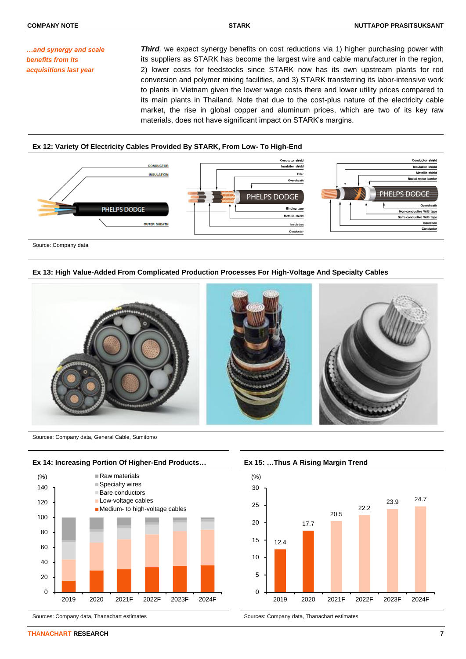*…and synergy and scale benefits from its acquisitions last year*

**Third**, we expect synergy benefits on cost reductions via 1) higher purchasing power with its suppliers as STARK has become the largest wire and cable manufacturer in the region, 2) lower costs for feedstocks since STARK now has its own upstream plants for rod conversion and polymer mixing facilities, and 3) STARK transferring its labor-intensive work to plants in Vietnam given the lower wage costs there and lower utility prices compared to its main plants in Thailand. Note that due to the cost-plus nature of the electricity cable market, the rise in global copper and aluminum prices, which are two of its key raw materials, does not have significant impact on STARK's margins.

## **Ex 12: Variety Of Electricity Cables Provided By STARK, From Low- To High-End**



Source: Company data

### **Ex 13: High Value-Added From Complicated Production Processes For High-Voltage And Specialty Cables**



Sources: Company data, General Cable, Sumitomo





Sources: Company data, Thanachart estimates Sources: Company data, Thanachart estimates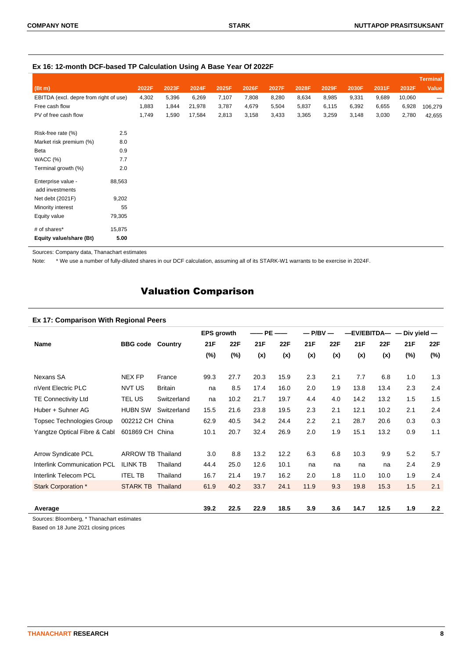| Ex 16: 12-month DCF-based TP Calculation Using A Base Year Of 2022F |  |  |
|---------------------------------------------------------------------|--|--|
|---------------------------------------------------------------------|--|--|

|                                        |        |       |       |        |       |       |       |       |       |       |       |        | <b>Terminal</b> |
|----------------------------------------|--------|-------|-------|--------|-------|-------|-------|-------|-------|-------|-------|--------|-----------------|
| (Bt m)                                 |        | 2022F | 2023F | 2024F  | 2025F | 2026F | 2027F | 2028F | 2029F | 2030F | 2031F | 2032F  | Value           |
| EBITDA (excl. depre from right of use) |        | 4,302 | 5,396 | 6,269  | 7,107 | 7,808 | 8,280 | 8,634 | 8,985 | 9,331 | 9,689 | 10,060 |                 |
| Free cash flow                         |        | 1,883 | 1,844 | 21,978 | 3,787 | 4,679 | 5,504 | 5,837 | 6,115 | 6,392 | 6,655 | 6,928  | 106,279         |
| PV of free cash flow                   |        | 1,749 | 1,590 | 17,584 | 2,813 | 3,158 | 3,433 | 3,365 | 3,259 | 3,148 | 3,030 | 2,780  | 42,655          |
| Risk-free rate (%)                     | 2.5    |       |       |        |       |       |       |       |       |       |       |        |                 |
| Market risk premium (%)                | 8.0    |       |       |        |       |       |       |       |       |       |       |        |                 |
| Beta                                   | 0.9    |       |       |        |       |       |       |       |       |       |       |        |                 |
| WACC(%)                                | 7.7    |       |       |        |       |       |       |       |       |       |       |        |                 |
| Terminal growth (%)                    | 2.0    |       |       |        |       |       |       |       |       |       |       |        |                 |
| Enterprise value -<br>add investments  | 88,563 |       |       |        |       |       |       |       |       |       |       |        |                 |
| Net debt (2021F)                       | 9,202  |       |       |        |       |       |       |       |       |       |       |        |                 |
| Minority interest                      | 55     |       |       |        |       |       |       |       |       |       |       |        |                 |
| Equity value                           | 79,305 |       |       |        |       |       |       |       |       |       |       |        |                 |
| # of shares*                           | 15,875 |       |       |        |       |       |       |       |       |       |       |        |                 |
| Equity value/share (Bt)                | 5.00   |       |       |        |       |       |       |       |       |       |       |        |                 |

Sources: Company data, Thanachart estimates

Note: \* We use a number of fully-diluted shares in our DCF calculation, assuming all of its STARK-W1 warrants to be exercise in 2024F.

# Valuation Comparison

# **Ex 17: Comparison With Regional Peers**

|                                    |                          |                | <b>EPS growth</b> |            | —— PE | $\overbrace{\hspace{25mm}}^{}$ | $-$ P/BV $-$ |            | $-$ EV/EBITDA $ -$ Div yield $-$ |      |     |            |
|------------------------------------|--------------------------|----------------|-------------------|------------|-------|--------------------------------|--------------|------------|----------------------------------|------|-----|------------|
| Name                               | <b>BBG</b> code          | Country        | 21F               | <b>22F</b> | 21F   | 22F                            | 21F          | <b>22F</b> | 21F                              | 22F  | 21F | <b>22F</b> |
|                                    |                          |                | $(\%)$            | (%)        | (x)   | (x)                            | (x)          | (x)        | (x)                              | (x)  | (%) | $(\%)$     |
| Nexans SA                          | <b>NEX FP</b>            | France         | 99.3              | 27.7       | 20.3  | 15.9                           | 2.3          | 2.1        | 7.7                              | 6.8  | 1.0 | 1.3        |
| nVent Electric PLC                 | NVT US                   | <b>Britain</b> | na                | 8.5        | 17.4  | 16.0                           | 2.0          | 1.9        | 13.8                             | 13.4 | 2.3 | 2.4        |
| <b>TE Connectivity Ltd</b>         | TEL US                   | Switzerland    | na                | 10.2       | 21.7  | 19.7                           | 4.4          | 4.0        | 14.2                             | 13.2 | 1.5 | 1.5        |
| Huber + Suhner AG                  | <b>HUBN SW</b>           | Switzerland    | 15.5              | 21.6       | 23.8  | 19.5                           | 2.3          | 2.1        | 12.1                             | 10.2 | 2.1 | 2.4        |
| <b>Topsec Technologies Group</b>   | 002212 CH                | China          | 62.9              | 40.5       | 34.2  | 24.4                           | 2.2          | 2.1        | 28.7                             | 20.6 | 0.3 | 0.3        |
| Yangtze Optical Fibre & Cabl       | 601869 CH China          |                | 10.1              | 20.7       | 32.4  | 26.9                           | 2.0          | 1.9        | 15.1                             | 13.2 | 0.9 | 1.1        |
| <b>Arrow Syndicate PCL</b>         | <b>ARROW TB Thailand</b> |                | 3.0               | 8.8        | 13.2  | 12.2                           | 6.3          | 6.8        | 10.3                             | 9.9  | 5.2 | 5.7        |
| <b>Interlink Communication PCL</b> | <b>ILINK TB</b>          | Thailand       | 44.4              | 25.0       | 12.6  | 10.1                           | na           | na         | na                               | na   | 2.4 | 2.9        |
| Interlink Telecom PCL              | <b>ITEL TB</b>           | Thailand       | 16.7              | 21.4       | 19.7  | 16.2                           | 2.0          | 1.8        | 11.0                             | 10.0 | 1.9 | 2.4        |
| Stark Corporation *                | <b>STARK TB</b>          | Thailand       | 61.9              | 40.2       | 33.7  | 24.1                           | 11.9         | 9.3        | 19.8                             | 15.3 | 1.5 | 2.1        |
|                                    |                          |                |                   |            |       |                                |              |            |                                  |      |     |            |
| Average                            |                          |                | 39.2              | 22.5       | 22.9  | 18.5                           | 3.9          | 3.6        | 14.7                             | 12.5 | 1.9 | 2.2        |

Sources: Bloomberg, \* Thanachart estimates

Based on 18 June 2021 closing prices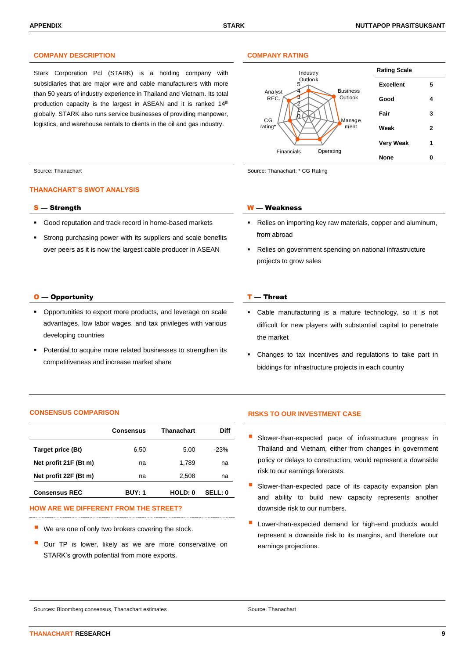# **COMPANY DESCRIPTION COMPANY RATING**

Stark Corporation Pcl (STARK) is a holding company with subsidiaries that are major wire and cable manufacturers with more than 50 years of industry experience in Thailand and Vietnam. Its total production capacity is the largest in ASEAN and it is ranked 14<sup>th</sup> globally. STARK also runs service businesses of providing manpower, logistics, and warehouse rentals to clients in the oil and gas industry.



Source: Thanachart Source: Thanachart Source: Thanachart in Source: Thanachart; \* CG Rating

### **THANACHART'S SWOT ANALYSIS**

- Good reputation and track record in home-based markets
- Strong purchasing power with its suppliers and scale benefits over peers as it is now the largest cable producer in ASEAN

### $\overline{O}$  — Opportunity  $\overline{I}$  — Threat

- Opportunities to export more products, and leverage on scale advantages, low labor wages, and tax privileges with various developing countries
- Potential to acquire more related businesses to strengthen its competitiveness and increase market share

#### S — Strength W — Weakness

- Relies on importing key raw materials, copper and aluminum, from abroad
- Relies on government spending on national infrastructure projects to grow sales

- Cable manufacturing is a mature technology, so it is not difficult for new players with substantial capital to penetrate the market
- Changes to tax incentives and regulations to take part in biddings for infrastructure projects in each country

#### **CONSENSUS COMPARISON RISKS TO OUR INVESTMENT CASE**

|                       | <b>Consensus</b> | <b>Thanachart</b> | Diff    |
|-----------------------|------------------|-------------------|---------|
| Target price (Bt)     | 6.50             | 5.00              | $-23%$  |
| Net profit 21F (Bt m) | na               | 1,789             | na      |
| Net profit 22F (Bt m) | na               | 2,508             | na      |
| <b>Consensus REC</b>  | <b>BUY: 1</b>    | HOLD: 0           | SELL: 0 |

### **HOW ARE WE DIFFERENT FROM THE STREET?**

- We are one of only two brokers covering the stock.
- Our TP is lower, likely as we are more conservative on STARK's growth potential from more exports.

- Slower-than-expected pace of infrastructure progress in Thailand and Vietnam, either from changes in government policy or delays to construction, would represent a downside risk to our earnings forecasts.
- Slower-than-expected pace of its capacity expansion plan and ability to build new capacity represents another downside risk to our numbers.
- Lower-than-expected demand for high-end products would represent a downside risk to its margins, and therefore our earnings projections.

Sources: Bloomberg consensus, Thanachart estimates Source: Thanachart estimates Source: Thanachart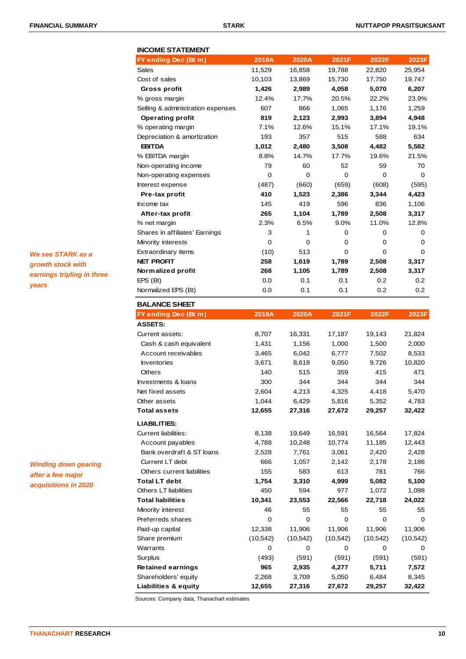| <b>INCOME STATEMENT</b>           |        |        |        |        |        |
|-----------------------------------|--------|--------|--------|--------|--------|
| FY ending Dec (Bt m)              | 2019A  | 2020A  | 2021F  | 2022F  | 2023F  |
| Sales                             | 11,529 | 16,858 | 19,788 | 22,820 | 25,954 |
| Cost of sales                     | 10,103 | 13,869 | 15,730 | 17,750 | 19,747 |
| Gross profit                      | 1,426  | 2,989  | 4,058  | 5,070  | 6,207  |
| % gross margin                    | 12.4%  | 17.7%  | 20.5%  | 22.2%  | 23.9%  |
| Selling & administration expenses | 607    | 866    | 1,065  | 1,176  | 1,259  |
| <b>Operating profit</b>           | 819    | 2,123  | 2,993  | 3,894  | 4,948  |
| % operating margin                | 7.1%   | 12.6%  | 15.1%  | 17.1%  | 19.1%  |
| Depreciation & amortization       | 193    | 357    | 515    | 588    | 634    |
| <b>EBITDA</b>                     | 1,012  | 2,480  | 3,508  | 4.482  | 5,582  |
| % EBITDA margin                   | 8.8%   | 14.7%  | 17.7%  | 19.6%  | 21.5%  |
| Non-operating income              | 79     | 60     | 52     | 59     | 70     |
| Non-operating expenses            | 0      | 0      | 0      | 0      | 0      |
| Interest expense                  | (487)  | (660)  | (659)  | (608)  | (595)  |
| Pre-tax profit                    | 410    | 1,523  | 2,386  | 3,344  | 4,423  |
| Income tax                        | 145    | 419    | 596    | 836    | 1,106  |
| After-tax profit                  | 265    | 1,104  | 1,789  | 2,508  | 3,317  |
| % net margin                      | 2.3%   | 6.5%   | 9.0%   | 11.0%  | 12.8%  |
| Shares in affiliates' Earnings    | 3      | 1      | 0      | 0      | 0      |
| Minority interests                | 0      | 0      | 0      | 0      | 0      |
| Extraordinary items               | (10)   | 513    | 0      | 0      | 0      |
| <b>NET PROFIT</b>                 | 258    | 1,619  | 1,789  | 2,508  | 3,317  |
| Normalized profit                 | 268    | 1,105  | 1,789  | 2,508  | 3,317  |
| EPS (Bt)                          | 0.0    | 0.1    | 0.1    | 0.2    | 0.2    |
| Normalized EPS (Bt)               | 0.0    | 0.1    | 0.1    | 0.2    | 0.2    |
| <b>BALANCE SHEET</b>              |        |        |        |        |        |
| FY ending Dec (Bt m)              | 2019A  | 2020A  | 2021F  | 2022F  | 2023F  |
| <b>ASSETS:</b>                    |        |        |        |        |        |
| Current assets:                   | 8,707  | 16,331 | 17,187 | 19,143 | 21,824 |
| Cash & cash equivalent            | 1,431  | 1,156  | 1,000  | 1,500  | 2,000  |
| Account receivables               | 3,465  | 6,042  | 6,777  | 7,502  | 8,533  |
| <b>Inventories</b>                | 3,671  | 8,618  | 9,050  | 9,726  | 10,820 |
| <b>Others</b>                     | 140    | 515    | 359    | 415    | 471    |
| Investments & loans               | 300    | 344    | 344    | 344    | 344    |
| Net fixed assets                  | 2,604  | 4,213  | 4,325  | 4,418  | 5,470  |
| Other assets                      | 1,044  | 6,429  | 5,816  | 5,352  | 4,783  |
| <b>Total assets</b>               | 12,655 | 27,316 | 27,672 | 29,257 | 32,422 |
| <b>LIABILITIES:</b>               |        |        |        |        |        |
| Current liabilities:              | 8,138  | 19,649 | 16,591 | 16,564 | 17,824 |
| Account payables                  | 4,788  | 10,248 | 10,774 | 11,185 | 12,443 |
| Bank overdraft & ST loans         | 2,528  | 7,761  | 3,061  | 2,420  | 2,428  |
| Current LT debt                   | 666    | 1,057  | 2,142  | 2,178  | 2,186  |
| Others current liabilities        | 155    | 583    | 613    | 781    | 766    |

**Total LT debt 1,754 3,310 4,999 5,082 5,100** Others LT liabilities 1,098 450 594 977 1,072 1,098

Warrants 0 0 0 0 0 Surplus (493) (591) (591) (591) (591) **Retained earnings 965 2,935 4,277 5,711 7,572** Shareholders' equity 2,268 3,709 5,050 6,484 8,345 **Liabilities & equity 12,655 27,316 27,672 29,257 32,422**

*We see STARK as a growth stock with earnings tripling in three years*

*Winding down gearing after a few major acquisitions in 2020*

# **Total liabilities 10,341 23,553 22,566 22,718 24,022** Minority interest 16 55 55 55 55 55 55 Preferreds shares 0 0 0 0 0 0 0 Paid-up capital 12,338 11,906 11,906 11,906 11,906 Share premium (10,542) (10,542) (10,542) (10,542) (10,542)

Sources: Company data, Thanachart estimates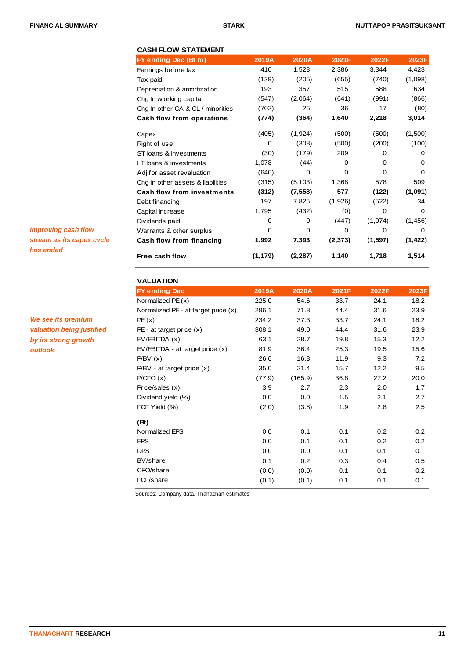# **CASH FLOW STATEMENT**

| FY ending Dec (Bt m)              | 2019A    | 2020A    | 2021F    | 2022F    | 2023F    |
|-----------------------------------|----------|----------|----------|----------|----------|
| Earnings before tax               | 410      | 1,523    | 2,386    | 3,344    | 4,423    |
| Tax paid                          | (129)    | (205)    | (655)    | (740)    | (1,098)  |
| Depreciation & amortization       | 193      | 357      | 515      | 588      | 634      |
| Chg In w orking capital           | (547)    | (2,064)  | (641)    | (991)    | (866)    |
| Chg In other CA & CL / minorities | (702)    | 25       | 36       | 17       | (80)     |
| Cash flow from operations         | (774)    | (364)    | 1,640    | 2,218    | 3,014    |
| Capex                             | (405)    | (1, 924) | (500)    | (500)    | (1,500)  |
| Right of use                      | $\Omega$ | (308)    | (500)    | (200)    | (100)    |
| ST loans & investments            | (30)     | (179)    | 209      | 0        | 0        |
| LT loans & investments            | 1,078    | (44)     | $\Omega$ | $\Omega$ | 0        |
| Adj for asset revaluation         | (640)    | $\Omega$ | $\Omega$ | $\Omega$ | 0        |
| Chg In other assets & liabilities | (315)    | (5, 103) | 1,368    | 578      | 509      |
| <b>Cash flow from investments</b> | (312)    | (7, 558) | 577      | (122)    | (1,091)  |
| Debt financing                    | 197      | 7,825    | (1,926)  | (522)    | 34       |
| Capital increase                  | 1,795    | (432)    | (0)      | $\Omega$ | 0        |
| Dividends paid                    | 0        | 0        | (447)    | (1,074)  | (1, 456) |
| Warrants & other surplus          | 0        | 0        | 0        | 0        | 0        |
| Cash flow from financing          | 1,992    | 7,393    | (2, 373) | (1, 597) | (1, 422) |
| Free cash flow                    | (1, 179) | (2, 287) | 1,140    | 1,718    | 1,514    |

# **VALUATION**

| <b>VALUATION</b>                        |        |         |       |       |       |
|-----------------------------------------|--------|---------|-------|-------|-------|
| <b>FY ending Dec</b>                    | 2019A  | 2020A   | 2021F | 2022F | 2023F |
| Normalized $PE(x)$                      | 225.0  | 54.6    | 33.7  | 24.1  | 18.2  |
| Normalized $PE$ - at target price $(x)$ | 296.1  | 71.8    | 44.4  | 31.6  | 23.9  |
| PE(x)                                   | 234.2  | 37.3    | 33.7  | 24.1  | 18.2  |
| $PE - at target price (x)$              | 308.1  | 49.0    | 44.4  | 31.6  | 23.9  |
| EV/EBITDA(x)                            | 63.1   | 28.7    | 19.8  | 15.3  | 12.2  |
| $EV/EBITDA - at target price (x)$       | 81.9   | 36.4    | 25.3  | 19.5  | 15.6  |
| P/BV(x)                                 | 26.6   | 16.3    | 11.9  | 9.3   | 7.2   |
| $P/BV - at target price (x)$            | 35.0   | 21.4    | 15.7  | 12.2  | 9.5   |
| P/CFO(x)                                | (77.9) | (165.9) | 36.8  | 27.2  | 20.0  |
| Price/sales (x)                         | 3.9    | 2.7     | 2.3   | 2.0   | 1.7   |
| Dividend yield (%)                      | 0.0    | 0.0     | 1.5   | 2.1   | 2.7   |
| FCF Yield (%)                           | (2.0)  | (3.8)   | 1.9   | 2.8   | 2.5   |
| (Bt)                                    |        |         |       |       |       |
| Normalized EPS                          | 0.0    | 0.1     | 0.1   | 0.2   | 0.2   |
| <b>EPS</b>                              | 0.0    | 0.1     | 0.1   | 0.2   | 0.2   |
| <b>DPS</b>                              | 0.0    | 0.0     | 0.1   | 0.1   | 0.1   |
| BV/share                                | 0.1    | 0.2     | 0.3   | 0.4   | 0.5   |
| CFO/share                               | (0.0)  | (0.0)   | 0.1   | 0.1   | 0.2   |
| FCF/share                               | (0.1)  | (0.1)   | 0.1   | 0.1   | 0.1   |

Sources: Company data, Thanachart estimates

*Improving cash flow stream as its capex cycle has ended*

*We see its premium valuation being justified by its strong growth outlook*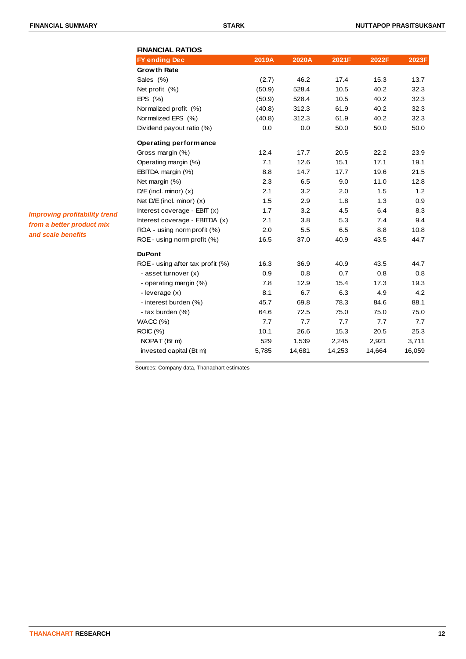| <b>FINANCIAL RATIOS</b>          |        |        |        |        |        |
|----------------------------------|--------|--------|--------|--------|--------|
| <b>FY ending Dec</b>             | 2019A  | 2020A  | 2021F  | 2022F  | 2023F  |
| <b>Growth Rate</b>               |        |        |        |        |        |
| Sales (%)                        | (2.7)  | 46.2   | 17.4   | 15.3   | 13.7   |
| Net profit (%)                   | (50.9) | 528.4  | 10.5   | 40.2   | 32.3   |
| EPS $(% )$                       | (50.9) | 528.4  | 10.5   | 40.2   | 32.3   |
| Normalized profit (%)            | (40.8) | 312.3  | 61.9   | 40.2   | 32.3   |
| Normalized EPS (%)               | (40.8) | 312.3  | 61.9   | 40.2   | 32.3   |
| Dividend payout ratio (%)        | 0.0    | 0.0    | 50.0   | 50.0   | 50.0   |
| Operating performance            |        |        |        |        |        |
| Gross margin (%)                 | 12.4   | 17.7   | 20.5   | 22.2   | 23.9   |
| Operating margin (%)             | 7.1    | 12.6   | 15.1   | 17.1   | 19.1   |
| EBITDA margin (%)                | 8.8    | 14.7   | 17.7   | 19.6   | 21.5   |
| Net margin (%)                   | 2.3    | 6.5    | 9.0    | 11.0   | 12.8   |
| $D/E$ (incl. minor) $(x)$        | 2.1    | 3.2    | 2.0    | 1.5    | 1.2    |
| Net $D/E$ (incl. minor) $(x)$    | 1.5    | 2.9    | 1.8    | 1.3    | 0.9    |
| Interest coverage - $EBIT(x)$    | 1.7    | 3.2    | 4.5    | 6.4    | 8.3    |
| Interest coverage - EBITDA (x)   | 2.1    | 3.8    | 5.3    | 7.4    | 9.4    |
| ROA - using norm profit (%)      | 2.0    | 5.5    | 6.5    | 8.8    | 10.8   |
| ROE - using norm profit (%)      | 16.5   | 37.0   | 40.9   | 43.5   | 44.7   |
| <b>DuPont</b>                    |        |        |        |        |        |
| ROE - using after tax profit (%) | 16.3   | 36.9   | 40.9   | 43.5   | 44.7   |
| - asset turnover (x)             | 0.9    | 0.8    | 0.7    | 0.8    | 0.8    |
| - operating margin (%)           | 7.8    | 12.9   | 15.4   | 17.3   | 19.3   |
| - leverage $(x)$                 | 8.1    | 6.7    | 6.3    | 4.9    | 4.2    |
| - interest burden (%)            | 45.7   | 69.8   | 78.3   | 84.6   | 88.1   |
| - tax burden (%)                 | 64.6   | 72.5   | 75.0   | 75.0   | 75.0   |
| WACC(%)                          | 7.7    | 7.7    | 7.7    | 7.7    | 7.7    |
| <b>ROIC</b> (%)                  | 10.1   | 26.6   | 15.3   | 20.5   | 25.3   |
| NOPAT (Bt m)                     | 529    | 1,539  | 2,245  | 2,921  | 3,711  |
| invested capital (Bt m)          | 5,785  | 14,681 | 14,253 | 14,664 | 16,059 |

*Improving profitability trend from a better product mix and scale benefits*

Sources: Company data, Thanachart estimates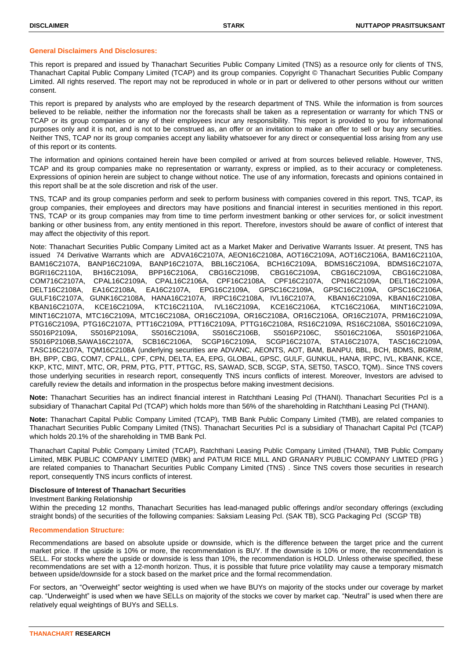### **General Disclaimers And Disclosures:**

This report is prepared and issued by Thanachart Securities Public Company Limited (TNS) as a resource only for clients of TNS, Thanachart Capital Public Company Limited (TCAP) and its group companies. Copyright © Thanachart Securities Public Company Limited. All rights reserved. The report may not be reproduced in whole or in part or delivered to other persons without our written consent.

This report is prepared by analysts who are employed by the research department of TNS. While the information is from sources believed to be reliable, neither the information nor the forecasts shall be taken as a representation or warranty for which TNS or TCAP or its group companies or any of their employees incur any responsibility. This report is provided to you for informational purposes only and it is not, and is not to be construed as, an offer or an invitation to make an offer to sell or buy any securities. Neither TNS, TCAP nor its group companies accept any liability whatsoever for any direct or consequential loss arising from any use of this report or its contents.

The information and opinions contained herein have been compiled or arrived at from sources believed reliable. However, TNS, TCAP and its group companies make no representation or warranty, express or implied, as to their accuracy or completeness. Expressions of opinion herein are subject to change without notice. The use of any information, forecasts and opinions contained in this report shall be at the sole discretion and risk of the user.

TNS, TCAP and its group companies perform and seek to perform business with companies covered in this report. TNS, TCAP, its group companies, their employees and directors may have positions and financial interest in securities mentioned in this report. TNS, TCAP or its group companies may from time to time perform investment banking or other services for, or solicit investment banking or other business from, any entity mentioned in this report. Therefore, investors should be aware of conflict of interest that may affect the objectivity of this report.

Note: Thanachart Securities Public Company Limited act as a Market Maker and Derivative Warrants Issuer. At present, TNS has issued 74 Derivative Warrants which are ADVA16C2107A, AEON16C2108A, AOT16C2109A, AOT16C2106A, BAM16C2110A, BAM16C2107A, BANP16C2109A, BANP16C2107A, BBL16C2106A, BCH16C2109A, BDMS16C2109A, BDMS16C2107A, BGRI16C2110A, BH16C2109A, BPP16C2106A, CBG16C2109B, CBG16C2109A, CBG16C2109A, CBG16C2108A, COM716C2107A, CPAL16C2109A, CPAL16C2106A, CPF16C2108A, CPF16C2107A, CPN16C2109A, DELT16C2109A, DELT16C2108A, EA16C2108A, EA16C2107A, EPG16C2109A, GPSC16C2109A, GPSC16C2109A, GPSC16C2106A, GULF16C2107A, GUNK16C2108A, HANA16C2107A, IRPC16C2108A, IVL16C2107A, KBAN16C2109A, KBAN16C2108A, KBAN16C2107A, KCE16C2109A, KTC16C2110A, IVL16C2109A, KCE16C2106A, KTC16C2106A, MINT16C2109A, MINT16C2107A, MTC16C2109A, MTC16C2108A, OR16C2109A, OR16C2108A, OR16C2106A, OR16C2107A, PRM16C2109A, PTG16C2109A, PTG16C2107A, PTT16C2109A, PTT16C2109A, PTTG16C2108A, RS16C2109A, RS16C2108A, S5016C2109A, S5016P2109A, S5016P2109A, S5016C2109A, S5016C2106B, S5016P2106C, S5016C2106A, S5016P2106A, S5016P2106B,SAWA16C2107A, SCB16C2106A, SCGP16C2109A, SCGP16C2107A, STA16C2107A, TASC16C2109A, TASC16C2107A, TQM16C2108A (underlying securities are ADVANC, AEONTS, AOT, BAM, BANPU, BBL, BCH, BDMS, BGRIM, BH, BPP, CBG, COM7, CPALL, CPF, CPN, DELTA, EA, EPG, GLOBAL, GPSC, GULF, GUNKUL, HANA, IRPC, IVL, KBANK, KCE, KKP, KTC, MINT, MTC, OR, PRM, PTG, PTT, PTTGC, RS, SAWAD, SCB, SCGP, STA, SET50, TASCO, TQM).. Since TNS covers those underlying securities in research report, consequently TNS incurs conflicts of interest. Moreover, Investors are advised to carefully review the details and information in the prospectus before making investment decisions.

**Note:** Thanachart Securities has an indirect financial interest in Ratchthani Leasing Pcl (THANI). Thanachart Securities Pcl is a subsidiary of Thanachart Capital Pcl (TCAP) which holds more than 56% of the shareholding in Ratchthani Leasing Pcl (THANI).

**Note:** Thanachart Capital Public Company Limited (TCAP), TMB Bank Public Company Limited (TMB), are related companies to Thanachart Securities Public Company Limited (TNS). Thanachart Securities Pcl is a subsidiary of Thanachart Capital Pcl (TCAP) which holds 20.1% of the shareholding in TMB Bank Pcl.

Thanachart Capital Public Company Limited (TCAP), Ratchthani Leasing Public Company Limited (THANI), TMB Public Company Limited, MBK PUBLIC COMPANY LIMITED (MBK) and PATUM RICE MILL AND GRANARY PUBLIC COMPANY LIMTED (PRG ) are related companies to Thanachart Securities Public Company Limited (TNS) . Since TNS covers those securities in research report, consequently TNS incurs conflicts of interest.

#### **Disclosure of Interest of Thanachart Securities**

Investment Banking Relationship

Within the preceding 12 months, Thanachart Securities has lead-managed public offerings and/or secondary offerings (excluding straight bonds) of the securities of the following companies: Saksiam Leasing Pcl. (SAK TB), SCG Packaging Pcl (SCGP TB)

#### **Recommendation Structure:**

Recommendations are based on absolute upside or downside, which is the difference between the target price and the current market price. If the upside is 10% or more, the recommendation is BUY. If the downside is 10% or more, the recommendation is SELL. For stocks where the upside or downside is less than 10%, the recommendation is HOLD. Unless otherwise specified, these recommendations are set with a 12-month horizon. Thus, it is possible that future price volatility may cause a temporary mismatch between upside/downside for a stock based on the market price and the formal recommendation.

For sectors, an "Overweight" sector weighting is used when we have BUYs on majority of the stocks under our coverage by market cap. "Underweight" is used when we have SELLs on majority of the stocks we cover by market cap. "Neutral" is used when there are relatively equal weightings of BUYs and SELLs.